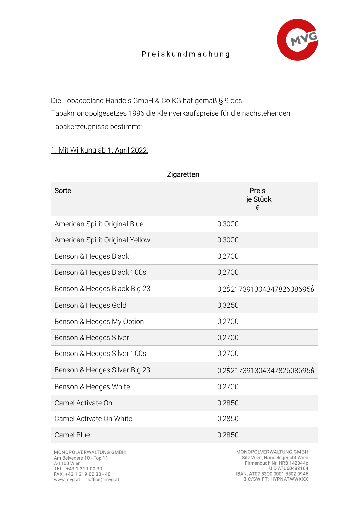

## P r e i s k u n d m a c h u n g

Die Tobaccoland Handels GmbH & Co KG hat gemäß § 9 des Tabakmonopolgesetzes 1996 die Kleinverkaufspreise für die nachstehenden Tabakerzeugnisse bestimmt:

## 1. Mit Wirkung ab 1. April 2022:

| Zigaretten                      |                           |  |
|---------------------------------|---------------------------|--|
| Sorte                           | Preis<br>je Stück<br>€    |  |
| American Spirit Original Blue   | 0,3000                    |  |
| American Spirit Original Yellow | 0,3000                    |  |
| Benson & Hedges Black           | 0,2700                    |  |
| Benson & Hedges Black 100s      | 0,2700                    |  |
| Benson & Hedges Black Big 23    | 0.25217391304347826086956 |  |
| Benson & Hedges Gold            | 0,3250                    |  |
| Benson & Hedges My Option       | 0,2700                    |  |
| Benson & Hedges Silver          | 0,2700                    |  |
| Benson & Hedges Silver 100s     | 0,2700                    |  |
| Benson & Hedges Silver Big 23   | 0,25217391304347826086956 |  |
| Benson & Hedges White           | 0,2700                    |  |
| Camel Activate On               | 0,2850                    |  |
| Camel Activate On White         | 0,2850                    |  |
| <b>Camel Blue</b>               | 0,2850                    |  |

MONOPOLVERWALTUNG GMBH Am Belvedere 10 - Top 11 A-1100 Wien TEL. +43 1 319 00 30<br>FAX. +43 1 319 00 30 - 40 www.mvg.at office@mvg.at

MONOPOLVERWALTUNG GMBH Sitz Wien, Handelsgericht Wien Firmenbuch Nr. HRB 142044p UID ATU60483104 IBAN: AT07 5300 0001 5502 0946<br>BIC/SWIFT: HYPNATWWXXX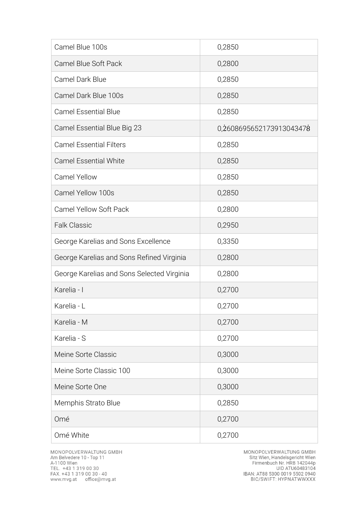| Camel Blue 100s                            | 0,2850                   |
|--------------------------------------------|--------------------------|
| Camel Blue Soft Pack                       | 0,2800                   |
| Camel Dark Blue                            | 0,2850                   |
| Camel Dark Blue 100s                       | 0,2850                   |
| <b>Camel Essential Blue</b>                | 0,2850                   |
| Camel Essential Blue Big 23                | 0,2608695652173913043478 |
| <b>Camel Essential Filters</b>             | 0,2850                   |
| <b>Camel Essential White</b>               | 0,2850                   |
| <b>Camel Yellow</b>                        | 0,2850                   |
| Camel Yellow 100s                          | 0,2850                   |
| <b>Camel Yellow Soft Pack</b>              | 0,2800                   |
| <b>Falk Classic</b>                        | 0,2950                   |
| George Karelias and Sons Excellence        | 0,3350                   |
| George Karelias and Sons Refined Virginia  | 0,2800                   |
| George Karelias and Sons Selected Virginia | 0,2800                   |
| Karelia - I                                | 0,2700                   |
| Karelia - L                                | 0,2700                   |
| Karelia - M                                | 0,2700                   |
| Karelia - S                                | 0,2700                   |
| Meine Sorte Classic                        | 0,3000                   |
| Meine Sorte Classic 100                    | 0,3000                   |
| Meine Sorte One                            | 0,3000                   |
| Memphis Strato Blue                        | 0,2850                   |
| Omé                                        | 0,2700                   |
| Omé White                                  | 0,2700                   |

MONOPOLVERWALTUNG GMBH<br>Sitz Wien, Handelsgericht Wien<br>Firmenbuch Nr. HRB 142044p<br>UID ATU60483104<br>IBAN: AT88 5300 0019 5502 0940<br>BIC/SWIFT: HYPNATWWXXX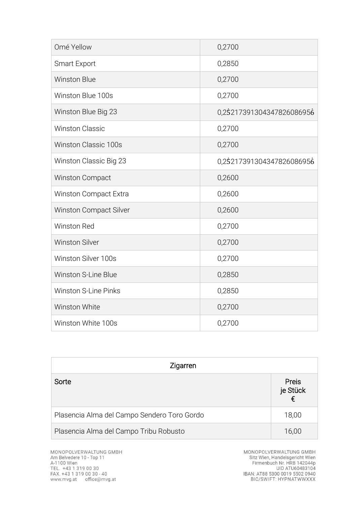| Omé Yellow                    | 0,2700                    |
|-------------------------------|---------------------------|
| <b>Smart Export</b>           | 0,2850                    |
| <b>Winston Blue</b>           | 0,2700                    |
| Winston Blue 100s             | 0,2700                    |
| Winston Blue Big 23           | 0,25217391304347826086956 |
| <b>Winston Classic</b>        | 0,2700                    |
| <b>Winston Classic 100s</b>   | 0,2700                    |
| Winston Classic Big 23        | 0,25217391304347826086956 |
| <b>Winston Compact</b>        | 0,2600                    |
| Winston Compact Extra         | 0,2600                    |
| <b>Winston Compact Silver</b> | 0,2600                    |
| <b>Winston Red</b>            | 0,2700                    |
| <b>Winston Silver</b>         | 0,2700                    |
| Winston Silver 100s           | 0,2700                    |
| <b>Winston S-Line Blue</b>    | 0,2850                    |
| <b>Winston S-Line Pinks</b>   | 0,2850                    |
| Winston White                 | 0,2700                    |
| Winston White 100s            | 0,2700                    |

| Zigarren                                    |                        |
|---------------------------------------------|------------------------|
| Sorte                                       | Preis<br>je Stück<br>€ |
| Plasencia Alma del Campo Sendero Toro Gordo | 18,00                  |
| Plasencia Alma del Campo Tribu Robusto      | 16,00                  |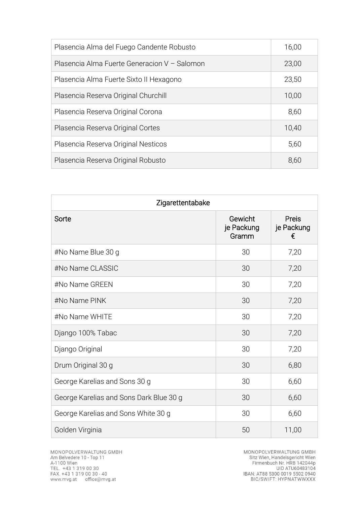| Plasencia Alma del Fuego Candente Robusto    | 16,00 |
|----------------------------------------------|-------|
| Plasencia Alma Fuerte Generacion V - Salomon | 23,00 |
| Plasencia Alma Fuerte Sixto II Hexagono      | 23,50 |
| Plasencia Reserva Original Churchill         | 10,00 |
| Plasencia Reserva Original Corona            | 8,60  |
| Plasencia Reserva Original Cortes            | 10,40 |
| Plasencia Reserva Original Nesticos          | 5,60  |
| Plasencia Reserva Original Robusto           | 8,60  |

| Zigarettentabake                        |                                |                          |
|-----------------------------------------|--------------------------------|--------------------------|
| Sorte                                   | Gewicht<br>je Packung<br>Gramm | Preis<br>je Packung<br>€ |
| #No Name Blue 30 g                      | 30                             | 7,20                     |
| #No Name CLASSIC                        | 30                             | 7,20                     |
| #No Name GREEN                          | 30                             | 7,20                     |
| #No Name PINK                           | 30                             | 7,20                     |
| #No Name WHITE                          | 30                             | 7,20                     |
| Django 100% Tabac                       | 30                             | 7,20                     |
| Django Original                         | 30                             | 7,20                     |
| Drum Original 30 g                      | 30                             | 6,80                     |
| George Karelias and Sons 30 g           | 30                             | 6,60                     |
| George Karelias and Sons Dark Blue 30 g | 30                             | 6,60                     |
| George Karelias and Sons White 30 g     | 30                             | 6,60                     |
| Golden Virginia                         | 50                             | 11,00                    |

MONOPOLVERWALTUNG GMBH<br>Sitz Wien, Handelsgericht Wien<br>Firmenbuch Nr. HRB 142044p<br>UID ATU60483104<br>IBAN: AT88 5300 0019 5502 0940<br>BIC/SWIFT: HYPNATWWXXX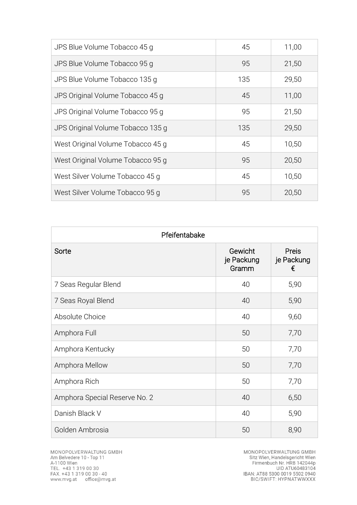| JPS Blue Volume Tobacco 45 g      | 45  | 11,00 |
|-----------------------------------|-----|-------|
| JPS Blue Volume Tobacco 95 g      | 95  | 21,50 |
| JPS Blue Volume Tobacco 135 g     | 135 | 29,50 |
| JPS Original Volume Tobacco 45 g  | 45  | 11,00 |
| JPS Original Volume Tobacco 95 g  | 95  | 21,50 |
| JPS Original Volume Tobacco 135 g | 135 | 29,50 |
| West Original Volume Tobacco 45 q | 45  | 10,50 |
| West Original Volume Tobacco 95 g | 95  | 20,50 |
| West Silver Volume Tobacco 45 g   | 45  | 10,50 |
| West Silver Volume Tobacco 95 g   | 95  | 20,50 |

| Pfeifentabake                 |                                |                                 |
|-------------------------------|--------------------------------|---------------------------------|
| Sorte                         | Gewicht<br>je Packung<br>Gramm | <b>Preis</b><br>je Packung<br>€ |
| 7 Seas Regular Blend          | 40                             | 5,90                            |
| 7 Seas Royal Blend            | 40                             | 5,90                            |
| Absolute Choice               | 40                             | 9,60                            |
| Amphora Full                  | 50                             | 7,70                            |
| Amphora Kentucky              | 50                             | 7,70                            |
| Amphora Mellow                | 50                             | 7,70                            |
| Amphora Rich                  | 50                             | 7,70                            |
| Amphora Special Reserve No. 2 | 40                             | 6,50                            |
| Danish Black V                | 40                             | 5,90                            |
| Golden Ambrosia               | 50                             | 8,90                            |

MONOPOLVERWALTUNG GMBH<br>Sitz Wien, Handelsgericht Wien<br>Firmenbuch Nr. HRB 142044p<br>UID ATU60483104<br>IBAN: AT88 5300 0019 5502 0940<br>BIC/SWIFT: HYPNATWWXXX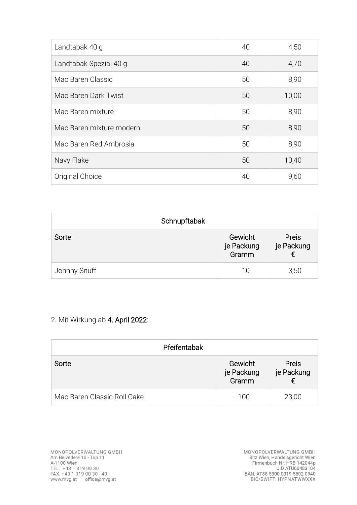| Landtabak 40 q           | 40 | 4,50  |
|--------------------------|----|-------|
| Landtabak Spezial 40 g   | 40 | 4,70  |
| Mac Baren Classic        | 50 | 8,90  |
| Mac Baren Dark Twist     | 50 | 10,00 |
| Mac Baren mixture        | 50 | 8,90  |
| Mac Baren mixture modern | 50 | 8,90  |
| Mac Baren Red Ambrosia   | 50 | 8,90  |
| Navy Flake               | 50 | 10,40 |
| Original Choice          | 40 | 9,60  |

| Schnupftabak |                                |                     |
|--------------|--------------------------------|---------------------|
| Sorte        | Gewicht<br>je Packung<br>Gramm | Preis<br>je Packung |
| Johnny Snuff | 10                             | 3,50                |

## 2. Mit Wirkung ab 4. April 2022:

| Pfeifentabak                |                                |                     |
|-----------------------------|--------------------------------|---------------------|
| Sorte                       | Gewicht<br>je Packung<br>Gramm | Preis<br>je Packung |
| Mac Baren Classic Roll Cake | 100                            | 23,00               |